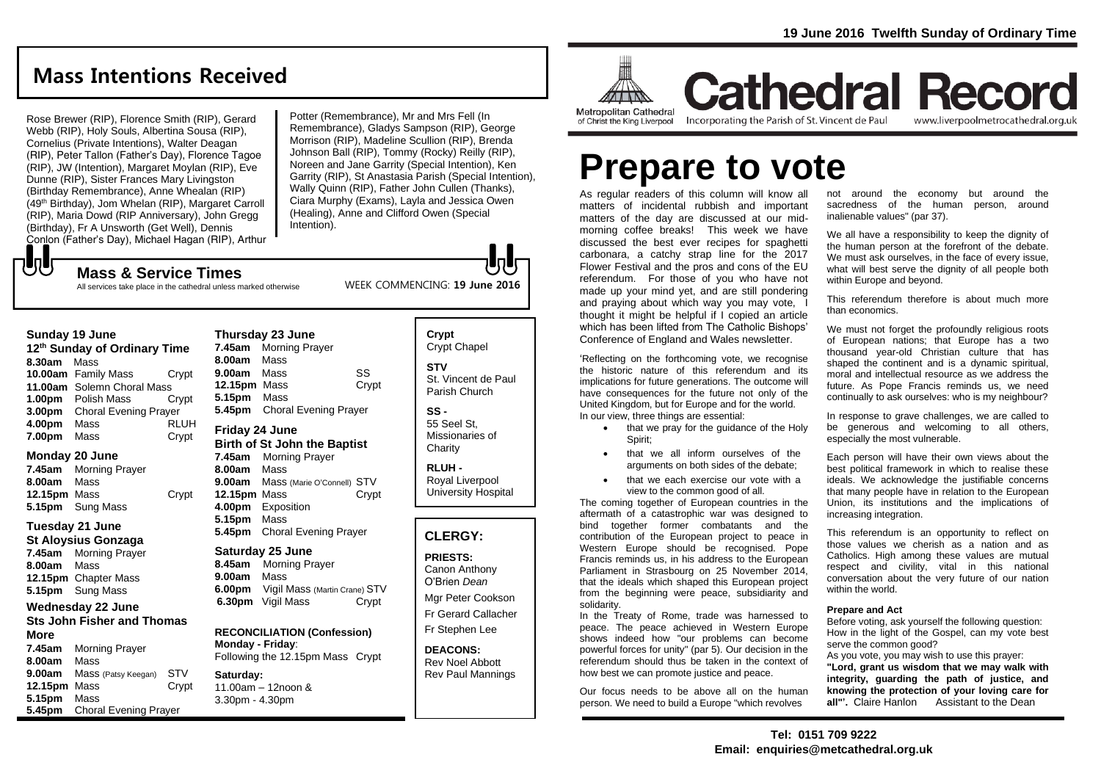# **Mass Intentions Received**

Rose Brewer (RIP), Florence Smith (RIP), Gerard Webb (RIP), Holy Souls, Albertina Sousa (RIP), Cornelius (Private Intentions), Walter Deagan (RIP), Peter Tallon (Father's Day), Florence Tagoe (RIP), JW (Intention), Margaret Moylan (RIP), Eve Dunne (RIP), Sister Frances Mary Livingston (Birthday Remembrance), Anne Whealan (RIP) (49th Birthday), Jom Whelan (RIP), Margaret Carroll (RIP), Maria Dowd (RIP Anniversary), John Gregg (Birthday), Fr A Unsworth (Get Well), Dennis Conlon (Father's Day), Michael Hagan (RIP), Arthur Potter (Remembrance), Mr and Mrs Fell (In Remembrance), Gladys Sampson (RIP), George Morrison (RIP), Madeline Scullion (RIP), Brenda Johnson Ball (RIP), Tommy (Rocky) Reilly (RIP), Noreen and Jane Garrity (Special Intention), Ken Garrity (RIP), St Anastasia Parish (Special Intention), Wally Quinn (RIP), Father John Cullen (Thanks), Ciara Murphy (Exams), Layla and Jessica Owen (Healing), Anne and Clifford Owen (Special Intention).

**Mass & Service Times** All services take place in the cathedral unless marked otherwise

#### **Sunday 19 June**

もし

**12th Sunday of Ordinary Time 8.30am** Mass **10.00am** Family Mass Crypt **11.00am** Solemn Choral Mass **1.00pm** Polish Mass Crypt **3.00pm** Choral Evening Prayer **4.00pm** Mass RLUH **7.00pm** Mass Crypt

#### **Monday 20 June**

**7.45am** Morning Prayer **8.00am** Mass **12.15pm** Mass Crypt **5.15pm** Sung Mass

#### **Tuesday 21 June**

- **St Aloysius Gonzaga 7.45am** Morning Prayer **8.00am** Mass **12.15pm** Chapter Mass
- **5.15pm** Sung Mass

## **Wednesday 22 June**

**Sts John Fisher and Thomas More 7.45am** Morning Prayer **8.00am** Mass **9.00am** Mass (Patsy Keegan) STV **12.15pm** Mass Crypt **5.15pm** Mass

**5.45pm** Choral Evening Prayer

### **Thursday 23 June 7.45am** Morning Prayer **8.00am** Mass **9.00am** Mass SS **12.15pm** Mass Crypt **5.15pm** Mass **5.45pm** Choral Evening Prayer **Friday 24 June**

**Birth of St John the Baptist 7.45am** Morning Prayer **8.00am** Mass **9.00am** Mass (Marie O'Connell) STV **12.15pm** Mass Crypt **4.00pm** Exposition **5.15pm** Mass **5.45pm** Choral Evening Prayer

#### **Saturday 25 June 8.45am** Morning Prayer **9.00am** Mass **6.00pm** Vigil Mass (Martin Crane) STV **6.30pm** Vigil Mass Crypt

**RECONCILIATION (Confession) Monday - Friday**: Following the 12.15pm Mass Crypt

## **Saturday:** 11.00am – 12noon & 3.30pm - 4.30pm

## **Crypt**  Crypt Chapel

**STV** St. Vincent de Paul Parish Church

WEEK COMMENCING: **19 June 2016**

**SS -** 55 Seel St, Missionaries of **Charity** 

**RLUH -** Royal Liverpool University Hospital

## **CLERGY:**

**PRIESTS:** Canon Anthony O'Brien *Dean*

- Mgr Peter Cookson Fr Gerard Callacher
- Fr Stephen Lee

**DEACONS:** Rev Noel Abbott Rev Paul Mannings



of Christ the King Liverpool

Incorporating the Parish of St. Vincent de Paul

# **Cathedral Record** www.liverpoolmetrocathedral.org.uk

**Prepare to vote**

As regular readers of this column will know all matters of incidental rubbish and important matters of the day are discussed at our midmorning coffee breaks! This week we have discussed the best ever recipes for spaghetti carbonara, a catchy strap line for the 2017 Flower Festival and the pros and cons of the EU referendum. For those of you who have not made up your mind yet, and are still pondering and praying about which way you may vote, I thought it might be helpful if I copied an article which has been lifted from The Catholic Bishops' Conference of England and Wales newsletter.

'Reflecting on the forthcoming vote, we recognise the historic nature of this referendum and its implications for future generations. The outcome will have consequences for the future not only of the United Kingdom, but for Europe and for the world. In our view, three things are essential:

- that we pray for the guidance of the Holy Spirit;
- that we all inform ourselves of the arguments on both sides of the debate;
- that we each exercise our vote with a view to the common good of all.

The coming together of European countries in the aftermath of a catastrophic war was designed to bind together former combatants and the contribution of the European project to peace in Western Europe should be recognised. Pope Francis reminds us, in his address to the European Parliament in Strasbourg on 25 November 2014, that the ideals which shaped this European project from the beginning were peace, subsidiarity and solidarity.

In the Treaty of Rome, trade was harnessed to peace. The peace achieved in Western Europe shows indeed how "our problems can become powerful forces for unity" (par 5). Our decision in the referendum should thus be taken in the context of how best we can promote justice and peace.

Our focus needs to be above all on the human person. We need to build a Europe "which revolves

not around the economy but around the sacredness of the human person, around inalienable values" (par 37).

We all have a responsibility to keep the dignity of the human person at the forefront of the debate. We must ask ourselves, in the face of every issue. what will best serve the dignity of all people both within Europe and beyond.

This referendum therefore is about much more than economics.

We must not forget the profoundly religious roots of European nations; that Europe has a two thousand year-old Christian culture that has shaped the continent and is a dynamic spiritual. moral and intellectual resource as we address the future. As Pope Francis reminds us, we need continually to ask ourselves: who is my neighbour?

In response to grave challenges, we are called to be generous and welcoming to all others, especially the most vulnerable.

Each person will have their own views about the best political framework in which to realise these ideals. We acknowledge the justifiable concerns that many people have in relation to the European Union, its institutions and the implications of increasing integration.

This referendum is an opportunity to reflect on those values we cherish as a nation and as Catholics. High among these values are mutual respect and civility, vital in this national conversation about the very future of our nation within the world.

## **Prepare and Act**

Before voting, ask yourself the following question: How in the light of the Gospel, can my vote best serve the common good?

As you vote, you may wish to use this prayer:

**"Lord, grant us wisdom that we may walk with integrity, guarding the path of justice, and knowing the protection of your loving care for all"'.** Claire Hanlon Assistant to the Dean